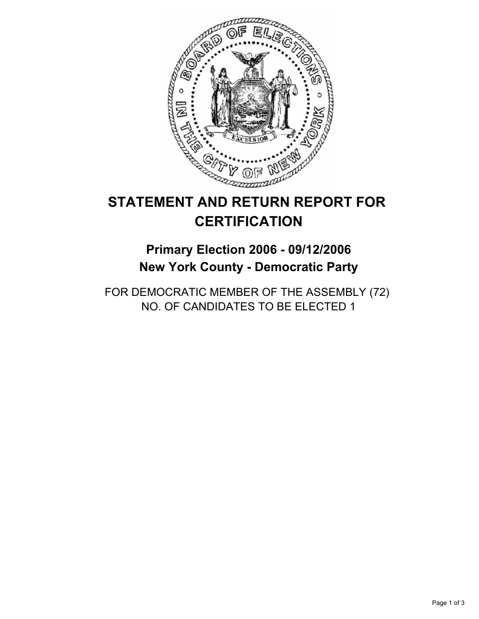

# **STATEMENT AND RETURN REPORT FOR CERTIFICATION**

## **Primary Election 2006 - 09/12/2006 New York County - Democratic Party**

FOR DEMOCRATIC MEMBER OF THE ASSEMBLY (72) NO. OF CANDIDATES TO BE ELECTED 1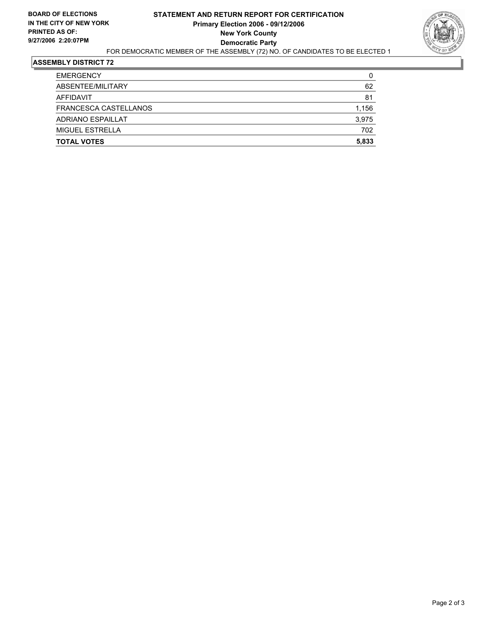

#### **ASSEMBLY DISTRICT 72**

| <b>EMERGENCY</b>      | 0     |
|-----------------------|-------|
| ABSENTEE/MILITARY     | 62    |
| <b>AFFIDAVIT</b>      | 81    |
| FRANCESCA CASTELLANOS | 1,156 |
| ADRIANO ESPAILLAT     | 3,975 |
| MIGUEL ESTRELLA       | 702   |
| <b>TOTAL VOTES</b>    | 5,833 |